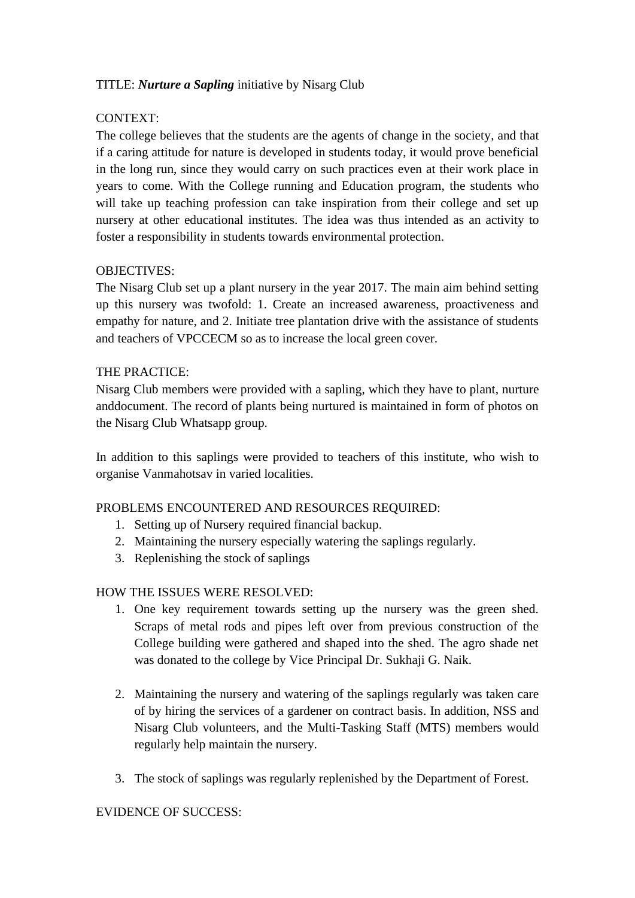# TITLE: *Nurture a Sapling* initiative by Nisarg Club

# CONTEXT:

The college believes that the students are the agents of change in the society, and that if a caring attitude for nature is developed in students today, it would prove beneficial in the long run, since they would carry on such practices even at their work place in years to come. With the College running and Education program, the students who will take up teaching profession can take inspiration from their college and set up nursery at other educational institutes. The idea was thus intended as an activity to foster a responsibility in students towards environmental protection.

### OBJECTIVES:

The Nisarg Club set up a plant nursery in the year 2017. The main aim behind setting up this nursery was twofold: 1. Create an increased awareness, proactiveness and empathy for nature, and 2. Initiate tree plantation drive with the assistance of students and teachers of VPCCECM so as to increase the local green cover.

# THE PRACTICE:

Nisarg Club members were provided with a sapling, which they have to plant, nurture anddocument. The record of plants being nurtured is maintained in form of photos on the Nisarg Club Whatsapp group.

In addition to this saplings were provided to teachers of this institute, who wish to organise Vanmahotsav in varied localities.

# PROBLEMS ENCOUNTERED AND RESOURCES REQUIRED:

- 1. Setting up of Nursery required financial backup.
- 2. Maintaining the nursery especially watering the saplings regularly.
- 3. Replenishing the stock of saplings

### HOW THE ISSUES WERE RESOLVED:

- 1. One key requirement towards setting up the nursery was the green shed. Scraps of metal rods and pipes left over from previous construction of the College building were gathered and shaped into the shed. The agro shade net was donated to the college by Vice Principal Dr. Sukhaji G. Naik.
- 2. Maintaining the nursery and watering of the saplings regularly was taken care of by hiring the services of a gardener on contract basis. In addition, NSS and Nisarg Club volunteers, and the Multi-Tasking Staff (MTS) members would regularly help maintain the nursery.
- 3. The stock of saplings was regularly replenished by the Department of Forest.

### EVIDENCE OF SUCCESS: